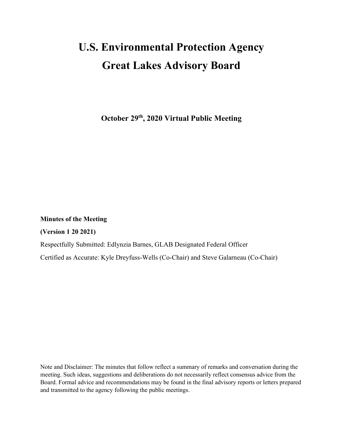# **U.S. Environmental Protection Agency Great Lakes Advisory Board**

**October 29th, 2020 Virtual Public Meeting**

**Minutes of the Meeting** 

**(Version 1 20 2021)**

Respectfully Submitted: Edlynzia Barnes, GLAB Designated Federal Officer

Certified as Accurate: Kyle Dreyfuss-Wells (Co-Chair) and Steve Galarneau (Co-Chair)

Note and Disclaimer: The minutes that follow reflect a summary of remarks and conversation during the meeting. Such ideas, suggestions and deliberations do not necessarily reflect consensus advice from the Board. Formal advice and recommendations may be found in the final advisory reports or letters prepared and transmitted to the agency following the public meetings.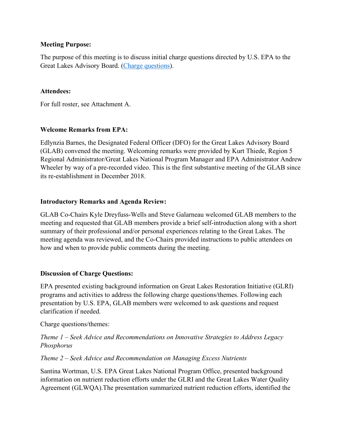#### **Meeting Purpose:**

The purpose of this meeting is to discuss initial charge questions directed by U.S. EPA to the Great Lakes Advisory Board. [\(Charge questions\)](https://www.glri.us/sites/default/files/glab-charge-questions-20201022.pdf).

#### **Attendees:**

For full roster, see Attachment A.

## **Welcome Remarks from EPA:**

Edlynzia Barnes, the Designated Federal Officer (DFO) for the Great Lakes Advisory Board (GLAB) convened the meeting. Welcoming remarks were provided by Kurt Thiede, Region 5 Regional Administrator/Great Lakes National Program Manager and EPA Administrator Andrew Wheeler by way of a pre-recorded video. This is the first substantive meeting of the GLAB since its re-establishment in December 2018.

## **Introductory Remarks and Agenda Review:**

GLAB Co-Chairs Kyle Dreyfuss-Wells and Steve Galarneau welcomed GLAB members to the meeting and requested that GLAB members provide a brief self-introduction along with a short summary of their professional and/or personal experiences relating to the Great Lakes. The meeting agenda was reviewed, and the Co-Chairs provided instructions to public attendees on how and when to provide public comments during the meeting.

## **Discussion of Charge Questions:**

EPA presented existing background information on Great Lakes Restoration Initiative (GLRI) programs and activities to address the following charge questions/themes. Following each presentation by U.S. EPA, GLAB members were welcomed to ask questions and request clarification if needed.

Charge questions/themes:

# *Theme 1 – Seek Advice and Recommendations on Innovative Strategies to Address Legacy Phosphorus*

## *Theme 2 – Seek Advice and Recommendation on Managing Excess Nutrients*

Santina Wortman, U.S. EPA Great Lakes National Program Office, presented background information on nutrient reduction efforts under the GLRI and the Great Lakes Water Quality Agreement (GLWQA).The presentation summarized nutrient reduction efforts, identified the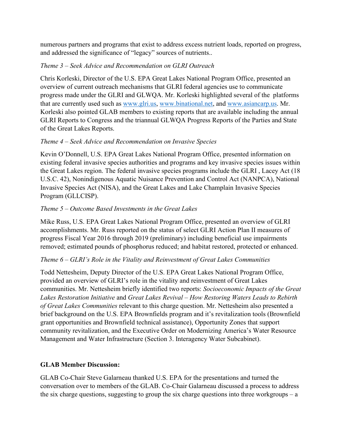numerous partners and programs that exist to address excess nutrient loads, reported on progress, and addressed the significance of "legacy" sources of nutrients..

# *Theme 3 – Seek Advice and Recommendation on GLRI Outreach*

Chris Korleski, Director of the U.S. EPA Great Lakes National Program Office, presented an overview of current outreach mechanisms that GLRI federal agencies use to communicate progress made under the GLRI and GLWQA. Mr. Korleski highlighted several of the platforms that are currently used such as [www.glri.us,](http://www.glri.us/) [www.binational.net,](http://www.binational.net/) and [www.asiancarp.us.](http://www.asiancarp.us/) Mr. Korleski also pointed GLAB members to existing reports that are available including the annual GLRI Reports to Congress and the triannual GLWQA Progress Reports of the Parties and State of the Great Lakes Reports.

# *Theme 4 – Seek Advice and Recommendation on Invasive Species*

Kevin O'Donnell, U.S. EPA Great Lakes National Program Office, presented information on existing federal invasive species authorities and programs and key invasive species issues within the Great Lakes region. The federal invasive species programs include the GLRI , Lacey Act (18 U.S.C. 42), Nonindigenous Aquatic Nuisance Prevention and Control Act (NANPCA), National Invasive Species Act (NISA), and the Great Lakes and Lake Champlain Invasive Species Program (GLLCISP).

# *Theme 5 – Outcome Based Investments in the Great Lakes*

Mike Russ, U.S. EPA Great Lakes National Program Office, presented an overview of GLRI accomplishments. Mr. Russ reported on the status of select GLRI Action Plan II measures of progress Fiscal Year 2016 through 2019 (preliminary) including beneficial use impairments removed; estimated pounds of phosphorus reduced; and habitat restored, protected or enhanced.

## *Theme 6 – GLRI's Role in the Vitality and Reinvestment of Great Lakes Communities*

Todd Nettesheim, Deputy Director of the U.S. EPA Great Lakes National Program Office, provided an overview of GLRI's role in the vitality and reinvestment of Great Lakes communities. Mr. Nettesheim briefly identified two reports: *Socioeconomic Impacts of the Great Lakes Restoration Initiative* and *Great Lakes Revival – How Restoring Waters Leads to Rebirth of Great Lakes Communities* relevant to this charge question. Mr. Nettesheim also presented a brief background on the U.S. EPA Brownfields program and it's revitalization tools (Brownfield grant opportunities and Brownfield technical assistance), Opportunity Zones that support community revitalization, and the Executive Order on Modernizing America's Water Resource Management and Water Infrastructure (Section 3. Interagency Water Subcabinet).

## **GLAB Member Discussion:**

GLAB Co-Chair Steve Galarneau thanked U.S. EPA for the presentations and turned the conversation over to members of the GLAB. Co-Chair Galarneau discussed a process to address the six charge questions, suggesting to group the six charge questions into three workgroups – a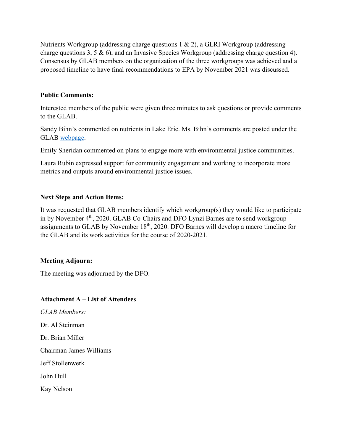Nutrients Workgroup (addressing charge questions 1 & 2), a GLRI Workgroup (addressing charge questions 3, 5 & 6), and an Invasive Species Workgroup (addressing charge question 4). Consensus by GLAB members on the organization of the three workgroups was achieved and a proposed timeline to have final recommendations to EPA by November 2021 was discussed.

#### **Public Comments:**

Interested members of the public were given three minutes to ask questions or provide comments to the GLAB.

Sandy Bihn's commented on nutrients in Lake Erie. Ms. Bihn's comments are posted under the GLAB [webpage.](https://www.glri.us/node/33#public-comments)

Emily Sheridan commented on plans to engage more with environmental justice communities.

Laura Rubin expressed support for community engagement and working to incorporate more metrics and outputs around environmental justice issues.

## **Next Steps and Action Items:**

It was requested that GLAB members identify which workgroup(s) they would like to participate in by November 4<sup>th</sup>, 2020. GLAB Co-Chairs and DFO Lynzi Barnes are to send workgroup assignments to GLAB by November 18<sup>th</sup>, 2020. DFO Barnes will develop a macro timeline for the GLAB and its work activities for the course of 2020-2021.

## **Meeting Adjourn:**

The meeting was adjourned by the DFO.

## **Attachment A – List of Attendees**

*GLAB Members:* Dr. Al Steinman Dr. Brian Miller Chairman James Williams Jeff Stollenwerk John Hull Kay Nelson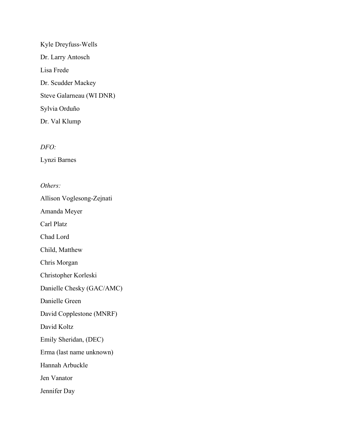Kyle Dreyfuss-Wells Dr. Larry Antosch Lisa Frede Dr. Scudder Mackey Steve Galarneau (WI DNR) Sylvia Orduño Dr. Val Klump

*DFO:* 

Lynzi Barnes

*Others:*

Allison Voglesong-Zejnati

Amanda Meyer

Carl Platz

Chad Lord

Child, Matthew

Chris Morgan

Christopher Korleski

Danielle Chesky (GAC/AMC)

Danielle Green

David Copplestone (MNRF)

David Koltz

Emily Sheridan, (DEC)

Erma (last name unknown)

Hannah Arbuckle

Jen Vanator

Jennifer Day